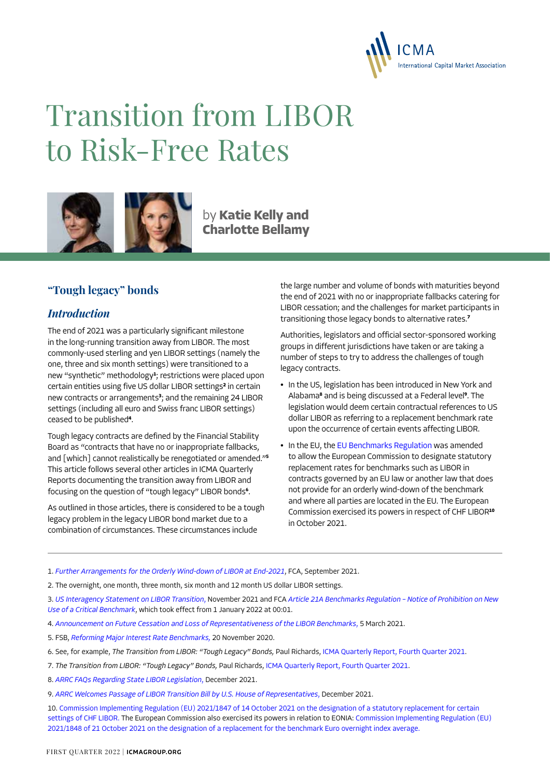

# Transition from LIBOR to Risk-Free Rates



by **Katie Kelly and Charlotte Bellamy**

## **"Tough legacy" bonds**

#### *Introduction*

The end of 2021 was a particularly significant milestone in the long-running transition away from LIBOR. The most commonly-used sterling and yen LIBOR settings (namely the one, three and six month settings) were transitioned to a new "synthetic" methodology**<sup>1</sup>** ; restrictions were placed upon certain entities using five US dollar LIBOR settings**<sup>2</sup>** in certain new contracts or arrangements**<sup>3</sup>** ; and the remaining 24 LIBOR settings (including all euro and Swiss franc LIBOR settings) ceased to be published**<sup>4</sup>** .

Tough legacy contracts are defined by the Financial Stability Board as "contracts that have no or inappropriate fallbacks, and [which] cannot realistically be renegotiated or amended."**<sup>5</sup>** This article follows several other articles in ICMA Quarterly Reports documenting the transition away from LIBOR and focusing on the question of "tough legacy" LIBOR bonds**<sup>6</sup>** .

As outlined in those articles, there is considered to be a tough legacy problem in the legacy LIBOR bond market due to a combination of circumstances. These circumstances include

the large number and volume of bonds with maturities beyond the end of 2021 with no or inappropriate fallbacks catering for LIBOR cessation; and the challenges for market participants in transitioning those legacy bonds to alternative rates.**<sup>7</sup>**

Authorities, legislators and official sector-sponsored working groups in different jurisdictions have taken or are taking a number of steps to try to address the challenges of tough legacy contracts.

- **•** In the US, legislation has been introduced in New York and Alabama**<sup>8</sup>** and is being discussed at a Federal level**<sup>9</sup>** . The legislation would deem certain contractual references to US dollar LIBOR as referring to a replacement benchmark rate upon the occurrence of certain events affecting LIBOR.
- **•** In the EU, the [EU Benchmarks Regulation](https://eur-lex.europa.eu/legal-content/EN/TXT/?uri=CELEX%3A02016R1011-20210213) was amended to allow the European Commission to designate statutory replacement rates for benchmarks such as LIBOR in contracts governed by an EU law or another law that does not provide for an orderly wind-down of the benchmark and where all parties are located in the EU. The European Commission exercised its powers in respect of CHF LIBOR**<sup>10</sup>** in October 2021.

1. *[Further Arrangements for the Orderly Wind-down of LIBOR at End-2021](https://www.fca.org.uk/news/press-releases/further-arrangements-orderly-wind-down-libor-end-2021)*, FCA, September 2021.

2. The overnight, one month, three month, six month and 12 month US dollar LIBOR settings.

3. *[US Interagency Statement on LIBOR Transition](https://www.federalreserve.gov/supervisionreg/srletters/SR2027a1.pdf)*, November 2021 and FCA *[Article 21A Benchmarks Regulation – Notice of Prohibition on New](https://www.fca.org.uk/publication/libor-notices/article-21a-benchmarks-regulation-prohibition-notice.pdf)  [Use of a Critical Benchmark](https://www.fca.org.uk/publication/libor-notices/article-21a-benchmarks-regulation-prohibition-notice.pdf)*, which took effect from 1 January 2022 at 00:01.

- 4. *[Announcement on Future Cessation and Loss of Representativeness of the LIBOR Benchmarks](https://www.fca.org.uk/publication/documents/future-cessation-loss-representativeness-libor-benchmarks.pdf)*, 5 March 2021.
- 5. FSB, *[Reforming Major Interest Rate Benchmarks,](https://www.fsb.org/wp-content/uploads/P191120.pdf)* 20 November 2020.
- 6. See, for example, *The Transition from LIBOR: "Tough Legacy" Bonds,* Paul Richards, [ICMA Quarterly Report, Fourth Quarter 2021](https://www.icmagroup.org/assets/documents/Regulatory/Quarterly_Reports/ICMA-Quarterly-Report-Fourth-Quarter-2021.pdf).
- 7. *The Transition from LIBOR: "Tough Legacy" Bonds,* Paul Richards, [ICMA Quarterly Report, Fourth Quarter 2021.](https://www.icmagroup.org/assets/documents/Regulatory/Quarterly_Reports/ICMA-Quarterly-Report-Fourth-Quarter-2021.pdf)
- 8. *[ARRC FAQs Regarding State LIBOR Legislation](https://www.newyorkfed.org/medialibrary/Microsites/arrc/files/2021/ARRC-NYS-Libor-legislation-faq.pdf)*, December 2021.
- 9. *[ARRC Welcomes Passage of LIBOR Transition Bill by U.S. House of Representatives](https://www.newyorkfed.org/medialibrary/Microsites/arrc/files/2021/ARRC-Press-Release-House-LIBOR-Legislation.pdf)*, December 2021.
- 10. [Commission Implementing Regulation \(EU\) 2021/1847 of 14 October 2021 on the designation of a statutory replacement for certain](https://eur-lex.europa.eu/legal-content/EN/TXT/?uri=uriserv%3AOJ.L_.2021.374.01.0001.01.ENG&toc=OJ%3AL%3A2021%3A374%3ATOC)  [settings of CHF LIBOR.](https://eur-lex.europa.eu/legal-content/EN/TXT/?uri=uriserv%3AOJ.L_.2021.374.01.0001.01.ENG&toc=OJ%3AL%3A2021%3A374%3ATOC) The European Commission also exercised its powers in relation to EONIA: [Commission Implementing Regulation \(EU\)](https://eur-lex.europa.eu/legal-content/EN/TXT/?uri=uriserv%3AOJ.L_.2021.374.01.0006.01.ENG&toc=OJ%3AL%3A2021%3A374%3ATOC)  [2021/1848 of 21 October 2021 on the designation of a replacement for the benchmark Euro overnight index average.](https://eur-lex.europa.eu/legal-content/EN/TXT/?uri=uriserv%3AOJ.L_.2021.374.01.0006.01.ENG&toc=OJ%3AL%3A2021%3A374%3ATOC)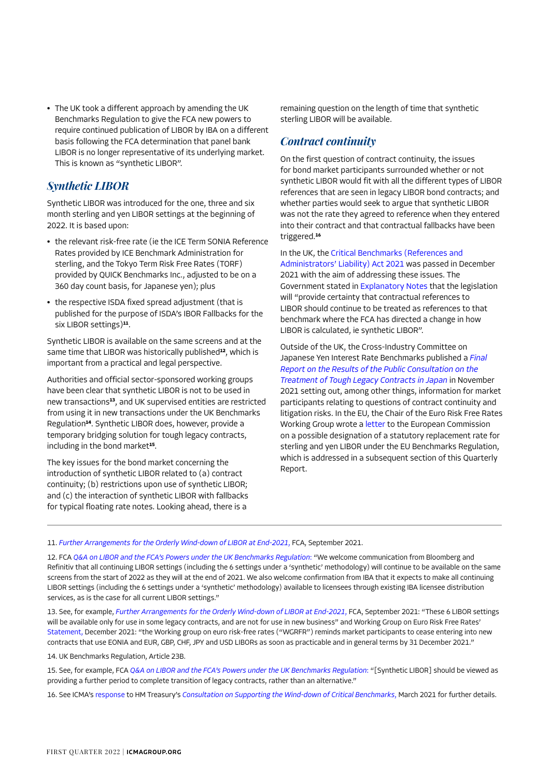**•** The UK took a different approach by amending the UK Benchmarks Regulation to give the FCA new powers to require continued publication of LIBOR by IBA on a different basis following the FCA determination that panel bank LIBOR is no longer representative of its underlying market. This is known as "synthetic LIBOR".

#### *Synthetic LIBOR*

Synthetic LIBOR was introduced for the one, three and six month sterling and yen LIBOR settings at the beginning of 2022. It is based upon:

- **•** the relevant risk-free rate (ie the ICE Term SONIA Reference Rates provided by ICE Benchmark Administration for sterling, and the Tokyo Term Risk Free Rates (TORF) provided by QUICK Benchmarks Inc., adjusted to be on a 360 day count basis, for Japanese yen); plus
- **•** the respective ISDA fixed spread adjustment (that is published for the purpose of ISDA's IBOR Fallbacks for the six LIBOR settings)**<sup>11</sup>**.

Synthetic LIBOR is available on the same screens and at the same time that LIBOR was historically published**<sup>12</sup>**, which is important from a practical and legal perspective.

Authorities and official sector-sponsored working groups have been clear that synthetic LIBOR is not to be used in new transactions**<sup>13</sup>**, and UK supervised entities are restricted from using it in new transactions under the UK Benchmarks Regulation**<sup>14</sup>**. Synthetic LIBOR does, however, provide a temporary bridging solution for tough legacy contracts, including in the bond market**<sup>15</sup>**.

The key issues for the bond market concerning the introduction of synthetic LIBOR related to (a) contract continuity; (b) restrictions upon use of synthetic LIBOR; and (c) the interaction of synthetic LIBOR with fallbacks for typical floating rate notes. Looking ahead, there is a

remaining question on the length of time that synthetic sterling LIBOR will be available.

#### *Contract continuity*

On the first question of contract continuity, the issues for bond market participants surrounded whether or not synthetic LIBOR would fit with all the different types of LIBOR references that are seen in legacy LIBOR bond contracts; and whether parties would seek to argue that synthetic LIBOR was not the rate they agreed to reference when they entered into their contract and that contractual fallbacks have been triggered.**<sup>16</sup>**

In the UK, the [Critical Benchmarks \(References and](https://bills.parliament.uk/bills/3045)  [Administrators' Liability\) Act 2021](https://bills.parliament.uk/bills/3045) was passed in December 2021 with the aim of addressing these issues. The Government stated in [Explanatory Notes](https://bills.parliament.uk/publications/42468/documents/624) that the legislation will "provide certainty that contractual references to LIBOR should continue to be treated as references to that benchmark where the FCA has directed a change in how LIBOR is calculated, ie synthetic LIBOR".

Outside of the UK, the Cross-Industry Committee on Japanese Yen Interest Rate Benchmarks published a *[Final](https://www.boj.or.jp/en/paym/market/jpy_cmte/cmt211119a.pdf)  [Report on the Results of the Public Consultation on the](https://www.boj.or.jp/en/paym/market/jpy_cmte/cmt211119a.pdf)  [Treatment of Tough Legacy Contracts in Japan](https://www.boj.or.jp/en/paym/market/jpy_cmte/cmt211119a.pdf)* in November 2021 setting out, among other things, information for market participants relating to questions of contract continuity and litigation risks. In the EU, the Chair of the Euro Risk Free Rates Working Group wrote a [letter](https://www.esma.europa.eu/sites/default/files/library/esma81-459-31_gbp_libor_jpy_libor_designation_letter_to_ec.pdf) to the European Commission on a possible designation of a statutory replacement rate for sterling and yen LIBOR under the EU Benchmarks Regulation, which is addressed in a subsequent section of this Quarterly Report.

11. *[Further Arrangements for the Orderly Wind-down of LIBOR at End-2021](https://www.fca.org.uk/news/press-releases/further-arrangements-orderly-wind-down-libor-end-2021)*, FCA, September 2021.

12. FCA *[Q&A on LIBOR and the FCA's Powers under the UK Benchmarks Regulation](https://www.fca.org.uk/markets/about-libor-transition/libor-and-fcas-powers-under-uk-benchmarks-regulation-questions-and-answers)*: "We welcome communication from Bloomberg and Refinitiv that all continuing LIBOR settings (including the 6 settings under a 'synthetic' methodology) will continue to be available on the same screens from the start of 2022 as they will at the end of 2021. We also welcome confirmation from IBA that it expects to make all continuing LIBOR settings (including the 6 settings under a 'synthetic' methodology) available to licensees through existing IBA licensee distribution services, as is the case for all current LIBOR settings."

13. See, for example, *[Further Arrangements for the Orderly Wind-down of LIBOR at End-2021](https://www.fca.org.uk/news/press-releases/further-arrangements-orderly-wind-down-libor-end-2021)*, FCA, September 2021: "These 6 LIBOR settings will be available only for use in some legacy contracts, and are not for use in new business" and Working Group on Euro Risk Free Rates' [Statement,](https://www.esma.europa.eu/sites/default/files/library/rfrwg_statement_on_dec_2021_cessation_events.pdf) December 2021: "the Working group on euro risk-free rates ("WGRFR") reminds market participants to cease entering into new contracts that use EONIA and EUR, GBP, CHF, JPY and USD LIBORs as soon as practicable and in general terms by 31 December 2021."

14. UK Benchmarks Regulation, Article 23B.

15. See, for example, FCA *[Q&A on LIBOR and the FCA's Powers under the UK Benchmarks Regulation](https://www.fca.org.uk/markets/about-libor-transition/libor-and-fcas-powers-under-uk-benchmarks-regulation-questions-and-answers)*: "[Synthetic LIBOR] should be viewed as providing a further period to complete transition of legacy contracts, rather than an alternative."

16. See ICMA's [response](https://www.icmagroup.org/assets/documents/Regulatory/Benchmark-reform/ICMA-response-to-UK-HMT-consultation-on-supporting-wind-down-of-critical-benchmarks150321.pdf) to HM Treasury's *[Consultation on Supporting the Wind-down of Critical Benchmarks](https://assets.publishing.service.gov.uk/government/uploads/system/uploads/attachment_data/file/961317/HMT_Safe_harbour_Consultation.pdf)*, March 2021 for further details.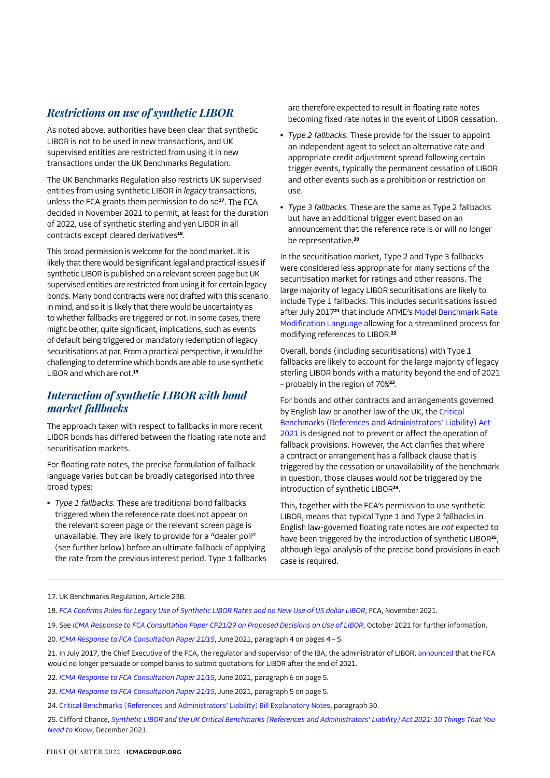## *Restrictions on use of synthetic LIBOR*

As noted above, authorities have been clear that synthetic LIBOR is not to be used in new transactions, and UK supervised entities are restricted from using it in new transactions under the UK Benchmarks Regulation.

The UK Benchmarks Regulation also restricts UK supervised entities from using synthetic LIBOR in *legacy* transactions, unless the FCA grants them permission to do so**<sup>17</sup>**. The FCA decided in November 2021 to permit, at least for the duration of 2022, use of synthetic sterling and yen LIBOR in all contracts except cleared derivatives**<sup>18</sup>**.

This broad permission is welcome for the bond market. It is likely that there would be significant legal and practical issues if synthetic LIBOR is published on a relevant screen page but UK supervised entities are restricted from using it for certain legacy bonds. Many bond contracts were not drafted with this scenario in mind, and so it is likely that there would be uncertainty as to whether fallbacks are triggered or not. In some cases, there might be other, quite significant, implications, such as events of default being triggered or mandatory redemption of legacy securitisations at par. From a practical perspective, it would be challenging to determine which bonds are able to use synthetic LIBOR and which are not.**<sup>19</sup>**

## *Interaction of synthetic LIBOR with bond market fallbacks*

The approach taken with respect to fallbacks in more recent LIBOR bonds has differed between the floating rate note and securitisation markets.

For floating rate notes, the precise formulation of fallback language varies but can be broadly categorised into three broad types:

**•** *Type 1 fallbacks.* These are traditional bond fallbacks triggered when the reference rate does not appear on the relevant screen page or the relevant screen page is unavailable. They are likely to provide for a "dealer poll" (see further below) before an ultimate fallback of applying the rate from the previous interest period. Type 1 fallbacks are therefore expected to result in floating rate notes becoming fixed rate notes in the event of LIBOR cessation.

- **•** *Type 2 fallbacks.* These provide for the issuer to appoint an independent agent to select an alternative rate and appropriate credit adjustment spread following certain trigger events, typically the permanent cessation of LIBOR and other events such as a prohibition or restriction on use.
- **•** *Type 3 fallbacks.* These are the same as Type 2 fallbacks but have an additional trigger event based on an announcement that the reference rate is or will no longer be representative.**<sup>20</sup>**

In the securitisation market, Type 2 and Type 3 fallbacks were considered less appropriate for many sections of the securitisation market for ratings and other reasons. The large majority of legacy LIBOR securitisations are likely to include Type 1 fallbacks. This includes securitisations issued after July 2017**<sup>21</sup>** that include AFME's [Model Benchmark Rate](https://www.afme.eu/Portals/0/globalassets/downloads/briefing-notes/2017/AFME Benchmark Rate Modification Language April 2018.pdf)  [Modification Language](https://www.afme.eu/Portals/0/globalassets/downloads/briefing-notes/2017/AFME Benchmark Rate Modification Language April 2018.pdf) allowing for a streamlined process for modifying references to LIBOR.**<sup>22</sup>**

Overall, bonds (including securitisations) with Type 1 fallbacks are likely to account for the large majority of legacy sterling LIBOR bonds with a maturity beyond the end of 2021 – probably in the region of 70%**<sup>23</sup>**.

For bonds and other contracts and arrangements governed by English law or another law of the UK, the [Critical](https://bills.parliament.uk/bills/3045)  [Benchmarks \(References and Administrators' Liability\) Act](https://bills.parliament.uk/bills/3045)  [2021](https://bills.parliament.uk/bills/3045) is designed not to prevent or affect the operation of fallback provisions. However, the Act clarifies that where a contract or arrangement has a fallback clause that is triggered by the cessation or unavailability of the benchmark in question, those clauses would *not* be triggered by the introduction of synthetic LIBOR**<sup>24</sup>**.

This, together with the FCA's permission to use synthetic LIBOR, means that typical Type 1 and Type 2 fallbacks in English law-governed floating rate notes are *not* expected to have been triggered by the introduction of synthetic LIBOR**<sup>25</sup>**, although legal analysis of the precise bond provisions in each case is required.

17. UK Benchmarks Regulation, Article 23B.

- 19. See *[ICMA Response to FCA Consultation Paper CP21/29 on Proposed Decisions on Use of LIBOR](https://www.icmagroup.org/assets/documents/Regulatory/Benchmark-reform/ICMA-response-to-FCA-CP-21-29-LIBOR-use-20-October-2021-201021.pdf)*, October 2021 for further information.
- 20. *[ICMA Response to FCA Consultation Paper 21/15](https://www.icmagroup.org/assets/documents/Regulatory/Benchmark-reform/ICMA-response-to-FCA-CP-21-15-16-June-2021-160621.pdf)*, June 2021, paragraph 4 on pages 4 5.

- 22. *[ICMA Response to FCA Consultation Paper 21/15](https://www.icmagroup.org/assets/documents/Regulatory/Benchmark-reform/ICMA-response-to-FCA-CP-21-15-16-June-2021-160621.pdf)*, June 2021, paragraph 6 on page 5.
- 23. *[ICMA Response to FCA Consultation Paper 21/15](https://www.icmagroup.org/assets/documents/Regulatory/Benchmark-reform/ICMA-response-to-FCA-CP-21-15-16-June-2021-160621.pdf)*, June 2021, paragraph 5 on page 5.
- 24. [Critical Benchmarks \(References and Administrators' Liability\) Bill Explanatory Notes,](https://bills.parliament.uk/publications/42468/documents/624) paragraph 30.

25. Clifford Chance, *[Synthetic LIBOR and the UK Critical Benchmarks \(References and Administrators' Liability\) Act 2021: 10 Things That You](https://www.cliffordchance.com/content/dam/cliffordchance/briefings/2021/12/synthetic-libor-and-the-uk-critical-benchmarks-10-things-that-you-need-to-know.pdf)  [Need to Know](https://www.cliffordchance.com/content/dam/cliffordchance/briefings/2021/12/synthetic-libor-and-the-uk-critical-benchmarks-10-things-that-you-need-to-know.pdf)*, December 2021.

<sup>18.</sup> *[FCA Confirms Rules for Legacy Use of Synthetic LIBOR Rates and no New Use of US dollar LIBOR](https://www.fca.org.uk/news/press-releases/fca-confirms-rules-legacy-use-synthetic-libor-no-new-use-us-dollar-libor)*, FCA, November 2021.

<sup>21.</sup> In July 2017, the Chief Executive of the FCA, the regulator and supervisor of the IBA, the administrator of LIBOR, [announced](https://www.fca.org.uk/news/speeches/the-future-of-libor) that the FCA would no longer persuade or compel banks to submit quotations for LIBOR after the end of 2021.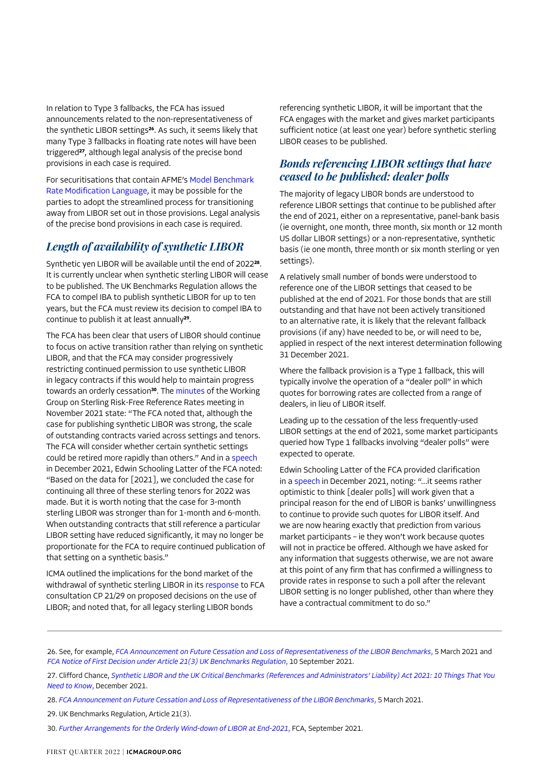In relation to Type 3 fallbacks, the FCA has issued announcements related to the non-representativeness of the synthetic LIBOR settings**<sup>26</sup>**. As such, it seems likely that many Type 3 fallbacks in floating rate notes will have been triggered**<sup>27</sup>**, although legal analysis of the precise bond provisions in each case is required.

For securitisations that contain AFME's [Model Benchmark](https://www.afme.eu/Portals/0/globalassets/downloads/briefing-notes/2017/AFME Benchmark Rate Modification Language April 2018.pdf)  [Rate Modification Language](https://www.afme.eu/Portals/0/globalassets/downloads/briefing-notes/2017/AFME Benchmark Rate Modification Language April 2018.pdf), it may be possible for the parties to adopt the streamlined process for transitioning away from LIBOR set out in those provisions. Legal analysis of the precise bond provisions in each case is required.

## *Length of availability of synthetic LIBOR*

Synthetic yen LIBOR will be available until the end of 2022**<sup>28</sup>**. It is currently unclear when synthetic sterling LIBOR will cease to be published. The UK Benchmarks Regulation allows the FCA to compel IBA to publish synthetic LIBOR for up to ten years, but the FCA must review its decision to compel IBA to continue to publish it at least annually**<sup>29</sup>**.

The FCA has been clear that users of LIBOR should continue to focus on active transition rather than relying on synthetic LIBOR, and that the FCA may consider progressively restricting continued permission to use synthetic LIBOR in legacy contracts if this would help to maintain progress towards an orderly cessation**<sup>30</sup>**. The [minutes](https://www.bankofengland.co.uk/minutes/2021/november/rfr-november-2021) of the Working Group on Sterling Risk-Free Reference Rates meeting in November 2021 state: "The FCA noted that, although the case for publishing synthetic LIBOR was strong, the scale of outstanding contracts varied across settings and tenors. The FCA will consider whether certain synthetic settings could be retired more rapidly than others." And in a [speech](https://www.fca.org.uk/news/speeches/so-long-libor-3-weeks-to-go) in December 2021, Edwin Schooling Latter of the FCA noted: "Based on the data for [2021], we concluded the case for continuing all three of these sterling tenors for 2022 was made. But it is worth noting that the case for 3-month sterling LIBOR was stronger than for 1-month and 6-month. When outstanding contracts that still reference a particular LIBOR setting have reduced significantly, it may no longer be proportionate for the FCA to require continued publication of that setting on a synthetic basis."

ICMA outlined the implications for the bond market of the withdrawal of synthetic sterling LIBOR in its [response](https://www.icmagroup.org/assets/documents/Regulatory/Benchmark-reform/ICMA-response-to-FCA-CP-21-29-LIBOR-use-20-October-2021-201021.pdf) to FCA consultation CP 21/29 on proposed decisions on the use of LIBOR; and noted that, for all legacy sterling LIBOR bonds

referencing synthetic LIBOR, it will be important that the FCA engages with the market and gives market participants sufficient notice (at least one year) before synthetic sterling LIBOR ceases to be published.

#### *Bonds referencing LIBOR settings that have ceased to be published: dealer polls*

The majority of legacy LIBOR bonds are understood to reference LIBOR settings that continue to be published after the end of 2021, either on a representative, panel-bank basis (ie overnight, one month, three month, six month or 12 month US dollar LIBOR settings) or a non-representative, synthetic basis (ie one month, three month or six month sterling or yen settings).

A relatively small number of bonds were understood to reference one of the LIBOR settings that ceased to be published at the end of 2021. For those bonds that are still outstanding and that have not been actively transitioned to an alternative rate, it is likely that the relevant fallback provisions (if any) have needed to be, or will need to be, applied in respect of the next interest determination following 31 December 2021.

Where the fallback provision is a Type 1 fallback, this will typically involve the operation of a "dealer poll" in which quotes for borrowing rates are collected from a range of dealers, in lieu of LIBOR itself.

Leading up to the cessation of the less frequently-used LIBOR settings at the end of 2021, some market participants queried how Type 1 fallbacks involving "dealer polls" were expected to operate.

Edwin Schooling Latter of the FCA provided clarification in a [speech](https://www.fca.org.uk/news/speeches/so-long-libor-3-weeks-to-go) in December 2021, noting: "…it seems rather optimistic to think [dealer polls] will work given that a principal reason for the end of LIBOR is banks' unwillingness to continue to provide such quotes for LIBOR itself. And we are now hearing exactly that prediction from various market participants – ie they won't work because quotes will not in practice be offered. Although we have asked for any information that suggests otherwise, we are not aware at this point of any firm that has confirmed a willingness to provide rates in response to such a poll after the relevant LIBOR setting is no longer published, other than where they have a contractual commitment to do so."

<sup>26.</sup> See, for example, *[FCA Announcement on Future Cessation and Loss of Representativeness of the LIBOR Benchmarks](https://www.fca.org.uk/publication/documents/future-cessation-loss-representativeness-libor-benchmarks.pdf)*, 5 March 2021 and *[FCA Notice of First Decision under Article 21\(3\) UK Benchmarks Regulation](https://www.fca.org.uk/publication/libor-notices/article-21-3-benchmarks-regulation-first-decision-notice.pdf)*, 10 September 2021.

<sup>27.</sup> Clifford Chance, *[Synthetic LIBOR and the UK Critical Benchmarks \(References and Administrators' Liability\) Act 2021: 10 Things That You](https://www.cliffordchance.com/content/dam/cliffordchance/briefings/2021/12/synthetic-libor-and-the-uk-critical-benchmarks-10-things-that-you-need-to-know.pdf)  [Need to Know](https://www.cliffordchance.com/content/dam/cliffordchance/briefings/2021/12/synthetic-libor-and-the-uk-critical-benchmarks-10-things-that-you-need-to-know.pdf)*, December 2021.

<sup>28.</sup> *[FCA Announcement on Future Cessation and Loss of Representativeness of the LIBOR Benchmarks](https://www.fca.org.uk/publication/documents/future-cessation-loss-representativeness-libor-benchmarks.pdf)*, 5 March 2021.

<sup>29.</sup> UK Benchmarks Regulation, Article 21(3).

<sup>30.</sup> *[Further Arrangements for the Orderly Wind-down of LIBOR at End-2021](https://www.fca.org.uk/news/press-releases/further-arrangements-orderly-wind-down-libor-end-2021)*, FCA, September 2021.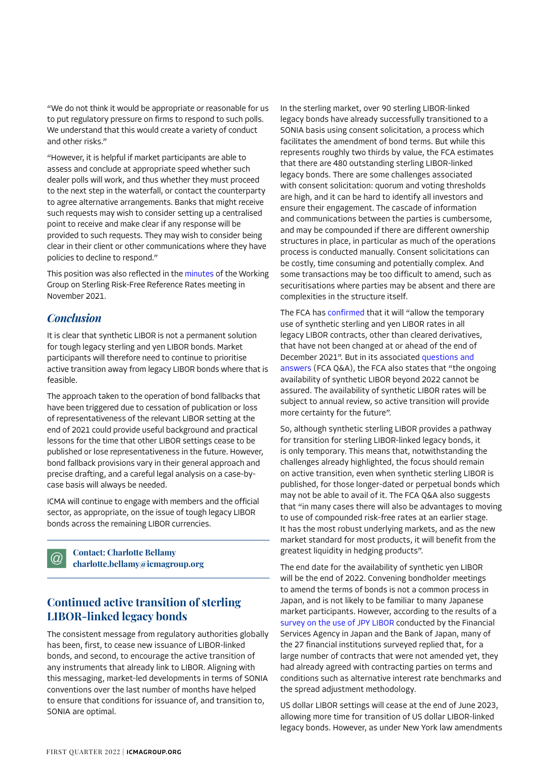"We do not think it would be appropriate or reasonable for us to put regulatory pressure on firms to respond to such polls. We understand that this would create a variety of conduct and other risks."

"However, it is helpful if market participants are able to assess and conclude at appropriate speed whether such dealer polls will work, and thus whether they must proceed to the next step in the waterfall, or contact the counterparty to agree alternative arrangements. Banks that might receive such requests may wish to consider setting up a centralised point to receive and make clear if any response will be provided to such requests. They may wish to consider being clear in their client or other communications where they have policies to decline to respond."

This position was also reflected in the [minutes](https://www.bankofengland.co.uk/minutes/2021/november/rfr-november-2021) of the Working Group on Sterling Risk-Free Reference Rates meeting in November 2021.

#### *Conclusion*

It is clear that synthetic LIBOR is not a permanent solution for tough legacy sterling and yen LIBOR bonds. Market participants will therefore need to continue to prioritise active transition away from legacy LIBOR bonds where that is feasible.

The approach taken to the operation of bond fallbacks that have been triggered due to cessation of publication or loss of representativeness of the relevant LIBOR setting at the end of 2021 could provide useful background and practical lessons for the time that other LIBOR settings cease to be published or lose representativeness in the future. However, bond fallback provisions vary in their general approach and precise drafting, and a careful legal analysis on a case-bycase basis will always be needed.

ICMA will continue to engage with members and the official sector, as appropriate, on the issue of tough legacy LIBOR bonds across the remaining LIBOR currencies.

**Contact: Charlotte Bellamy**  $\circleda$ **[charlotte.bellamy@icmagroup.org](mailto:charlotte.bellamy@icmagroup.org)** 

## **Continued active transition of sterling LIBOR-linked legacy bonds**

The consistent message from regulatory authorities globally has been, first, to cease new issuance of LIBOR-linked bonds, and second, to encourage the active transition of any instruments that already link to LIBOR. Aligning with this messaging, market-led developments in terms of SONIA conventions over the last number of months have helped to ensure that conditions for issuance of, and transition to, SONIA are optimal.

In the sterling market, over 90 sterling LIBOR-linked legacy bonds have already successfully transitioned to a SONIA basis using consent solicitation, a process which facilitates the amendment of bond terms. But while this represents roughly two thirds by value, the FCA estimates that there are 480 outstanding sterling LIBOR-linked legacy bonds. There are some challenges associated with consent solicitation: quorum and voting thresholds are high, and it can be hard to identify all investors and ensure their engagement. The cascade of information and communications between the parties is cumbersome, and may be compounded if there are different ownership structures in place, in particular as much of the operations process is conducted manually. Consent solicitations can be costly, time consuming and potentially complex. And some transactions may be too difficult to amend, such as securitisations where parties may be absent and there are complexities in the structure itself.

The FCA has [confirmed](https://www.fca.org.uk/news/press-releases/fca-confirms-rules-legacy-use-synthetic-libor-no-new-use-us-dollar-libor) that it will "allow the temporary use of synthetic sterling and yen LIBOR rates in all legacy LIBOR contracts, other than cleared derivatives, that have not been changed at or ahead of the end of December 2021". But in its associated [questions and](https://www.fca.org.uk/markets/about-libor-transition/libor-and-fcas-powers-under-uk-benchmarks-regulation-questions-and-answers)  [answers](https://www.fca.org.uk/markets/about-libor-transition/libor-and-fcas-powers-under-uk-benchmarks-regulation-questions-and-answers) (FCA Q&A), the FCA also states that "the ongoing availability of synthetic LIBOR beyond 2022 cannot be assured. The availability of synthetic LIBOR rates will be subject to annual review, so active transition will provide more certainty for the future".

So, although synthetic sterling LIBOR provides a pathway for transition for sterling LIBOR-linked legacy bonds, it is only temporary. This means that, notwithstanding the challenges already highlighted, the focus should remain on active transition, even when synthetic sterling LIBOR is published, for those longer-dated or perpetual bonds which may not be able to avail of it. The FCA Q&A also suggests that "in many cases there will also be advantages to moving to use of compounded risk-free rates at an earlier stage. It has the most robust underlying markets, and as the new market standard for most products, it will benefit from the greatest liquidity in hedging products".

The end date for the availability of synthetic yen LIBOR will be the end of 2022. Convening bondholder meetings to amend the terms of bonds is not a common process in Japan, and is not likely to be familiar to many Japanese market participants. However, according to the results of a [survey on the use of JPY LIBOR](https://www.fsa.go.jp/en/news/2021/20211101/libor_survey_english_20211101.pdf) conducted by the Financial Services Agency in Japan and the Bank of Japan, many of the 27 financial institutions surveyed replied that, for a large number of contracts that were not amended yet, they had already agreed with contracting parties on terms and conditions such as alternative interest rate benchmarks and the spread adjustment methodology.

US dollar LIBOR settings will cease at the end of June 2023, allowing more time for transition of US dollar LIBOR-linked legacy bonds. However, as under New York law amendments